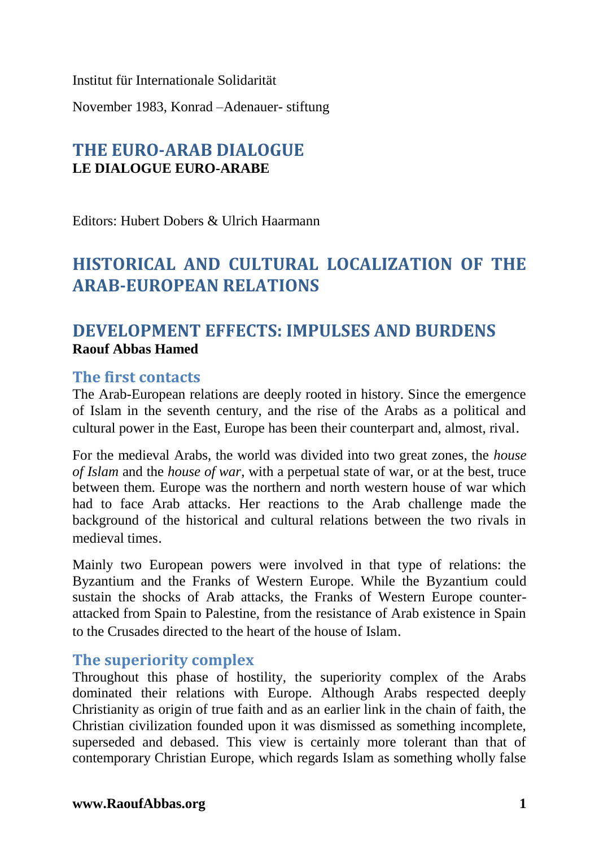Institut für Internationale Solidarität

November 1983, Konrad –Adenauer- stiftung

# **THE EURO-ARAB DIALOGUE LE DIALOGUE EURO-ARABE**

Editors: Hubert Dobers & Ulrich Haarmann

# **HISTORICAL AND CULTURAL LOCALIZATION OF THE ARAB-EUROPEAN RELATIONS**

# **DEVELOPMENT EFFECTS: IMPULSES AND BURDENS Raouf Abbas Hamed**

#### **The first contacts**

The Arab-European relations are deeply rooted in history. Since the emergence of Islam in the seventh century, and the rise of the Arabs as a political and cultural power in the East, Europe has been their counterpart and, almost, rival.

For the medieval Arabs, the world was divided into two great zones, the *house of Islam* and the *house of war*, with a perpetual state of war, or at the best, truce between them. Europe was the northern and north western house of war which had to face Arab attacks. Her reactions to the Arab challenge made the background of the historical and cultural relations between the two rivals in medieval times.

Mainly two European powers were involved in that type of relations: the Byzantium and the Franks of Western Europe. While the Byzantium could sustain the shocks of Arab attacks, the Franks of Western Europe counterattacked from Spain to Palestine, from the resistance of Arab existence in Spain to the Crusades directed to the heart of the house of Islam.

#### **The superiority complex**

Throughout this phase of hostility, the superiority complex of the Arabs dominated their relations with Europe. Although Arabs respected deeply Christianity as origin of true faith and as an earlier link in the chain of faith, the Christian civilization founded upon it was dismissed as something incomplete, superseded and debased. This view is certainly more tolerant than that of contemporary Christian Europe, which regards Islam as something wholly false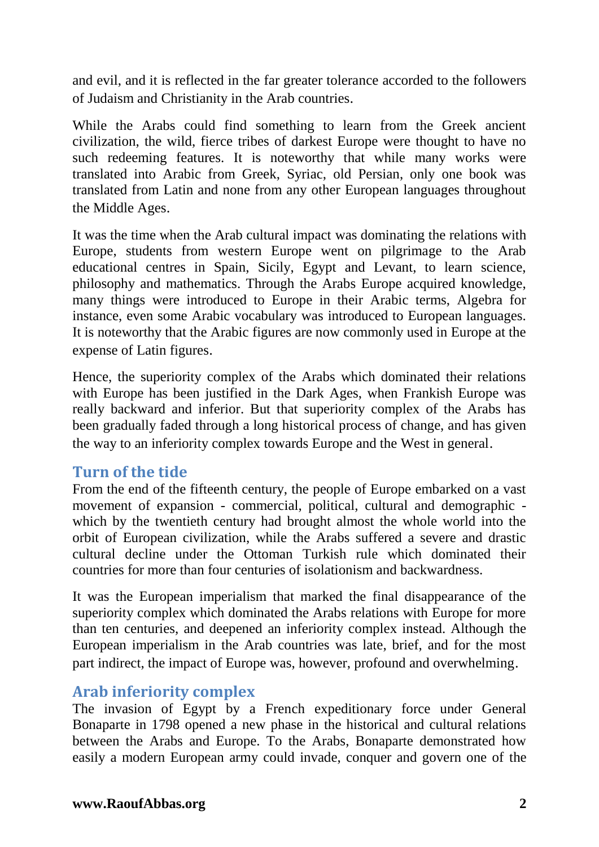and evil, and it is reflected in the far greater tolerance accorded to the followers of Judaism and Christianity in the Arab countries.

While the Arabs could find something to learn from the Greek ancient civilization, the wild, fierce tribes of darkest Europe were thought to have no such redeeming features. It is noteworthy that while many works were translated into Arabic from Greek, Syriac, old Persian, only one book was translated from Latin and none from any other European languages throughout the Middle Ages.

It was the time when the Arab cultural impact was dominating the relations with Europe, students from western Europe went on pilgrimage to the Arab educational centres in Spain, Sicily, Egypt and Levant, to learn science, philosophy and mathematics. Through the Arabs Europe acquired knowledge, many things were introduced to Europe in their Arabic terms, Algebra for instance, even some Arabic vocabulary was introduced to European languages. It is noteworthy that the Arabic figures are now commonly used in Europe at the expense of Latin figures.

Hence, the superiority complex of the Arabs which dominated their relations with Europe has been justified in the Dark Ages, when Frankish Europe was really backward and inferior. But that superiority complex of the Arabs has been gradually faded through a long historical process of change, and has given the way to an inferiority complex towards Europe and the West in general.

### **Turn of the tide**

From the end of the fifteenth century, the people of Europe embarked on a vast movement of expansion - commercial, political, cultural and demographic which by the twentieth century had brought almost the whole world into the orbit of European civilization, while the Arabs suffered a severe and drastic cultural decline under the Ottoman Turkish rule which dominated their countries for more than four centuries of isolationism and backwardness.

It was the European imperialism that marked the final disappearance of the superiority complex which dominated the Arabs relations with Europe for more than ten centuries, and deepened an inferiority complex instead. Although the European imperialism in the Arab countries was late, brief, and for the most part indirect, the impact of Europe was, however, profound and overwhelming.

### **Arab inferiority complex**

The invasion of Egypt by a French expeditionary force under General Bonaparte in 1798 opened a new phase in the historical and cultural relations between the Arabs and Europe. To the Arabs, Bonaparte demonstrated how easily a modern European army could invade, conquer and govern one of the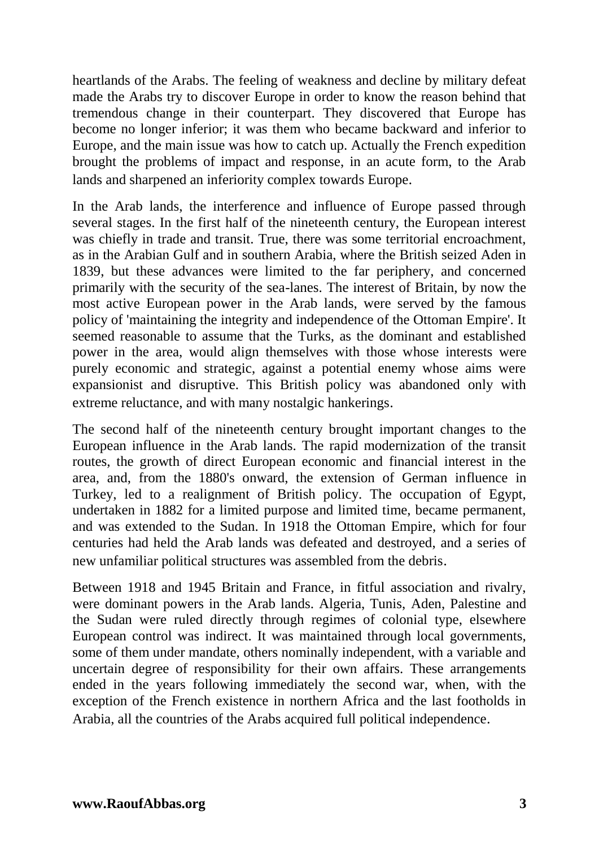heartlands of the Arabs. The feeling of weakness and decline by military defeat made the Arabs try to discover Europe in order to know the reason behind that tremendous change in their counterpart. They discovered that Europe has become no longer inferior; it was them who became backward and inferior to Europe, and the main issue was how to catch up. Actually the French expedition brought the problems of impact and response, in an acute form, to the Arab lands and sharpened an inferiority complex towards Europe.

In the Arab lands, the interference and influence of Europe passed through several stages. In the first half of the nineteenth century, the European interest was chiefly in trade and transit. True, there was some territorial encroachment, as in the Arabian Gulf and in southern Arabia, where the British seized Aden in 1839, but these advances were limited to the far periphery, and concerned primarily with the security of the sea-lanes. The interest of Britain, by now the most active European power in the Arab lands, were served by the famous policy of 'maintaining the integrity and independence of the Ottoman Empire'. It seemed reasonable to assume that the Turks, as the dominant and established power in the area, would align themselves with those whose interests were purely economic and strategic, against a potential enemy whose aims were expansionist and disruptive. This British policy was abandoned only with extreme reluctance, and with many nostalgic hankerings.

The second half of the nineteenth century brought important changes to the European influence in the Arab lands. The rapid modernization of the transit routes, the growth of direct European economic and financial interest in the area, and, from the 1880's onward, the extension of German influence in Turkey, led to a realignment of British policy. The occupation of Egypt, undertaken in 1882 for a limited purpose and limited time, became permanent, and was extended to the Sudan. In 1918 the Ottoman Empire, which for four centuries had held the Arab lands was defeated and destroyed, and a series of new unfamiliar political structures was assembled from the debris.

Between 1918 and 1945 Britain and France, in fitful association and rivalry, were dominant powers in the Arab lands. Algeria, Tunis, Aden, Palestine and the Sudan were ruled directly through regimes of colonial type, elsewhere European control was indirect. It was maintained through local governments, some of them under mandate, others nominally independent, with a variable and uncertain degree of responsibility for their own affairs. These arrangements ended in the years following immediately the second war, when, with the exception of the French existence in northern Africa and the last footholds in Arabia, all the countries of the Arabs acquired full political independence.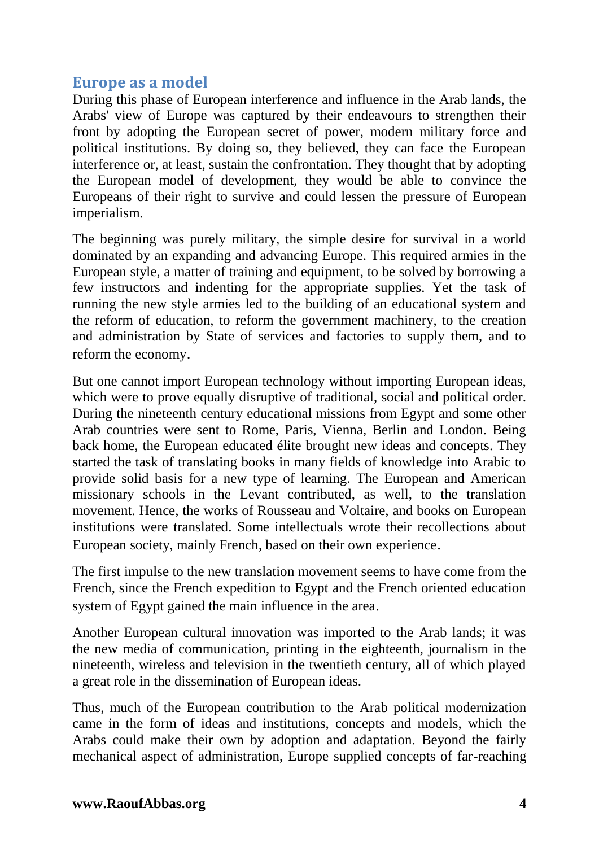### **Europe as a model**

During this phase of European interference and influence in the Arab lands, the Arabs' view of Europe was captured by their endeavours to strengthen their front by adopting the European secret of power, modern military force and political institutions. By doing so, they believed, they can face the European interference or, at least, sustain the confrontation. They thought that by adopting the European model of development, they would be able to convince the Europeans of their right to survive and could lessen the pressure of European imperialism.

The beginning was purely military, the simple desire for survival in a world dominated by an expanding and advancing Europe. This required armies in the European style, a matter of training and equipment, to be solved by borrowing a few instructors and indenting for the appropriate supplies. Yet the task of running the new style armies led to the building of an educational system and the reform of education, to reform the government machinery, to the creation and administration by State of services and factories to supply them, and to reform the economy.

But one cannot import European technology without importing European ideas, which were to prove equally disruptive of traditional, social and political order. During the nineteenth century educational missions from Egypt and some other Arab countries were sent to Rome, Paris, Vienna, Berlin and London. Being back home, the European educated élite brought new ideas and concepts. They started the task of translating books in many fields of knowledge into Arabic to provide solid basis for a new type of learning. The European and American missionary schools in the Levant contributed, as well, to the translation movement. Hence, the works of Rousseau and Voltaire, and books on European institutions were translated. Some intellectuals wrote their recollections about European society, mainly French, based on their own experience.

The first impulse to the new translation movement seems to have come from the French, since the French expedition to Egypt and the French oriented education system of Egypt gained the main influence in the area.

Another European cultural innovation was imported to the Arab lands; it was the new media of communication, printing in the eighteenth, journalism in the nineteenth, wireless and television in the twentieth century, all of which played a great role in the dissemination of European ideas.

Thus, much of the European contribution to the Arab political modernization came in the form of ideas and institutions, concepts and models, which the Arabs could make their own by adoption and adaptation. Beyond the fairly mechanical aspect of administration, Europe supplied concepts of far-reaching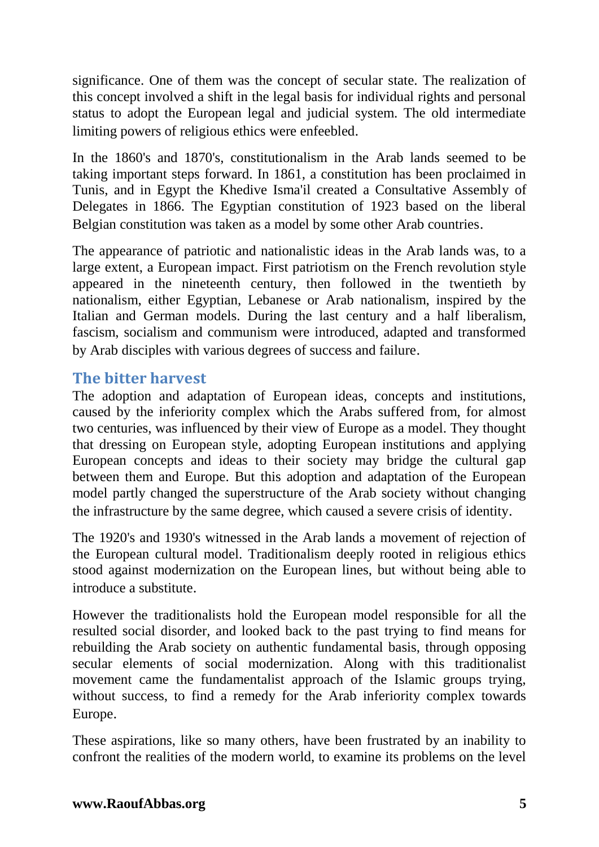significance. One of them was the concept of secular state. The realization of this concept involved a shift in the legal basis for individual rights and personal status to adopt the European legal and judicial system. The old intermediate limiting powers of religious ethics were enfeebled.

In the 1860's and 1870's, constitutionalism in the Arab lands seemed to be taking important steps forward. In 1861, a constitution has been proclaimed in Tunis, and in Egypt the Khedive Isma'il created a Consultative Assembly of Delegates in 1866. The Egyptian constitution of 1923 based on the liberal Belgian constitution was taken as a model by some other Arab countries.

The appearance of patriotic and nationalistic ideas in the Arab lands was, to a large extent, a European impact. First patriotism on the French revolution style appeared in the nineteenth century, then followed in the twentieth by nationalism, either Egyptian, Lebanese or Arab nationalism, inspired by the Italian and German models. During the last century and a half liberalism, fascism, socialism and communism were introduced, adapted and transformed by Arab disciples with various degrees of success and failure.

## **The bitter harvest**

The adoption and adaptation of European ideas, concepts and institutions, caused by the inferiority complex which the Arabs suffered from, for almost two centuries, was influenced by their view of Europe as a model. They thought that dressing on European style, adopting European institutions and applying European concepts and ideas to their society may bridge the cultural gap between them and Europe. But this adoption and adaptation of the European model partly changed the superstructure of the Arab society without changing the infrastructure by the same degree, which caused a severe crisis of identity.

The 1920's and 1930's witnessed in the Arab lands a movement of rejection of the European cultural model. Traditionalism deeply rooted in religious ethics stood against modernization on the European lines, but without being able to introduce a substitute.

However the traditionalists hold the European model responsible for all the resulted social disorder, and looked back to the past trying to find means for rebuilding the Arab society on authentic fundamental basis, through opposing secular elements of social modernization. Along with this traditionalist movement came the fundamentalist approach of the Islamic groups trying, without success, to find a remedy for the Arab inferiority complex towards Europe.

These aspirations, like so many others, have been frustrated by an inability to confront the realities of the modern world, to examine its problems on the level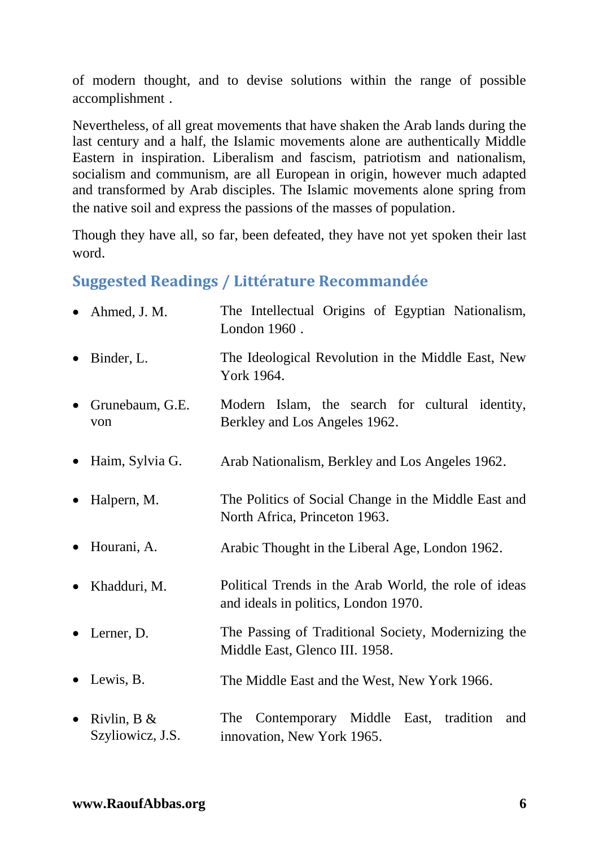of modern thought, and to devise solutions within the range of possible accomplishment .

Nevertheless, of all great movements that have shaken the Arab lands during the last century and a half, the Islamic movements alone are authentically Middle Eastern in inspiration. Liberalism and fascism, patriotism and nationalism, socialism and communism, are all European in origin, however much adapted and transformed by Arab disciples. The Islamic movements alone spring from the native soil and express the passions of the masses of population.

Though they have all, so far, been defeated, they have not yet spoken their last word.

## **Suggested Readings / Littérature Recommandée**

|           | $\bullet$ Ahmed, J. M.             | The Intellectual Origins of Egyptian Nationalism,<br>London 1960.                             |
|-----------|------------------------------------|-----------------------------------------------------------------------------------------------|
| $\bullet$ | Binder, L.                         | The Ideological Revolution in the Middle East, New<br>York 1964.                              |
| $\bullet$ | Grunebaum, G.E.<br>von             | Modern Islam, the search for cultural identity,<br>Berkley and Los Angeles 1962.              |
| $\bullet$ | Haim, Sylvia G.                    | Arab Nationalism, Berkley and Los Angeles 1962.                                               |
| $\bullet$ | Halpern, M.                        | The Politics of Social Change in the Middle East and<br>North Africa, Princeton 1963.         |
| $\bullet$ | Hourani, A.                        | Arabic Thought in the Liberal Age, London 1962.                                               |
| $\bullet$ | Khadduri, M.                       | Political Trends in the Arab World, the role of ideas<br>and ideals in politics, London 1970. |
|           | $\bullet$ Lerner, D.               | The Passing of Traditional Society, Modernizing the<br>Middle East, Glenco III. 1958.         |
| $\bullet$ | Lewis, B.                          | The Middle East and the West, New York 1966.                                                  |
| $\bullet$ | Rivlin, $B \&$<br>Szyliowicz, J.S. | Contemporary Middle<br>East, tradition<br>The<br>and<br>innovation, New York 1965.            |